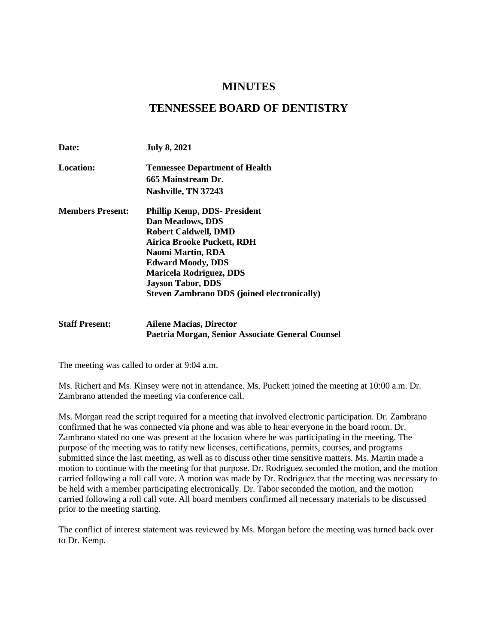# **MINUTES**

# **TENNESSEE BOARD OF DENTISTRY**

| Date:                   | <b>July 8, 2021</b>                                |
|-------------------------|----------------------------------------------------|
| <b>Location:</b>        | <b>Tennessee Department of Health</b>              |
|                         | 665 Mainstream Dr.                                 |
|                         | Nashville, TN 37243                                |
| <b>Members Present:</b> | <b>Phillip Kemp, DDS- President</b>                |
|                         | Dan Meadows, DDS                                   |
|                         | <b>Robert Caldwell, DMD</b>                        |
|                         | Airica Brooke Puckett, RDH                         |
|                         | Naomi Martin, RDA                                  |
|                         | <b>Edward Moody, DDS</b>                           |
|                         | <b>Maricela Rodriguez, DDS</b>                     |
|                         | <b>Jayson Tabor, DDS</b>                           |
|                         | <b>Steven Zambrano DDS (joined electronically)</b> |

## **Staff Present: Ailene Macias, Director Paetria Morgan, Senior Associate General Counsel**

The meeting was called to order at 9:04 a.m.

Ms. Richert and Ms. Kinsey were not in attendance. Ms. Puckett joined the meeting at 10:00 a.m. Dr. Zambrano attended the meeting via conference call.

Ms. Morgan read the script required for a meeting that involved electronic participation. Dr. Zambrano confirmed that he was connected via phone and was able to hear everyone in the board room. Dr. Zambrano stated no one was present at the location where he was participating in the meeting. The purpose of the meeting was to ratify new licenses, certifications, permits, courses, and programs submitted since the last meeting, as well as to discuss other time sensitive matters. Ms. Martin made a motion to continue with the meeting for that purpose. Dr. Rodriguez seconded the motion, and the motion carried following a roll call vote. A motion was made by Dr. Rodriguez that the meeting was necessary to be held with a member participating electronically. Dr. Tabor seconded the motion, and the motion carried following a roll call vote. All board members confirmed all necessary materials to be discussed prior to the meeting starting.

The conflict of interest statement was reviewed by Ms. Morgan before the meeting was turned back over to Dr. Kemp.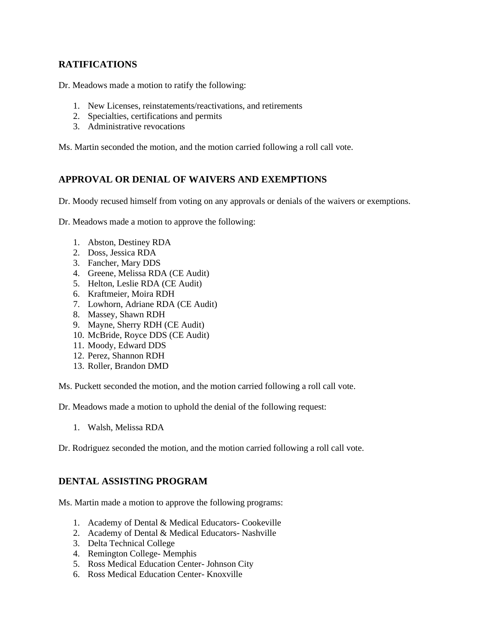# **RATIFICATIONS**

Dr. Meadows made a motion to ratify the following:

- 1. New Licenses, reinstatements/reactivations, and retirements
- 2. Specialties, certifications and permits
- 3. Administrative revocations

Ms. Martin seconded the motion, and the motion carried following a roll call vote.

# **APPROVAL OR DENIAL OF WAIVERS AND EXEMPTIONS**

Dr. Moody recused himself from voting on any approvals or denials of the waivers or exemptions.

Dr. Meadows made a motion to approve the following:

- 1. Abston, Destiney RDA
- 2. Doss, Jessica RDA
- 3. Fancher, Mary DDS
- 4. Greene, Melissa RDA (CE Audit)
- 5. Helton, Leslie RDA (CE Audit)
- 6. Kraftmeier, Moira RDH
- 7. Lowhorn, Adriane RDA (CE Audit)
- 8. Massey, Shawn RDH
- 9. Mayne, Sherry RDH (CE Audit)
- 10. McBride, Royce DDS (CE Audit)
- 11. Moody, Edward DDS
- 12. Perez, Shannon RDH
- 13. Roller, Brandon DMD

Ms. Puckett seconded the motion, and the motion carried following a roll call vote.

Dr. Meadows made a motion to uphold the denial of the following request:

1. Walsh, Melissa RDA

Dr. Rodriguez seconded the motion, and the motion carried following a roll call vote.

## **DENTAL ASSISTING PROGRAM**

Ms. Martin made a motion to approve the following programs:

- 1. Academy of Dental & Medical Educators- Cookeville
- 2. Academy of Dental & Medical Educators- Nashville
- 3. Delta Technical College
- 4. Remington College- Memphis
- 5. Ross Medical Education Center- Johnson City
- 6. Ross Medical Education Center- Knoxville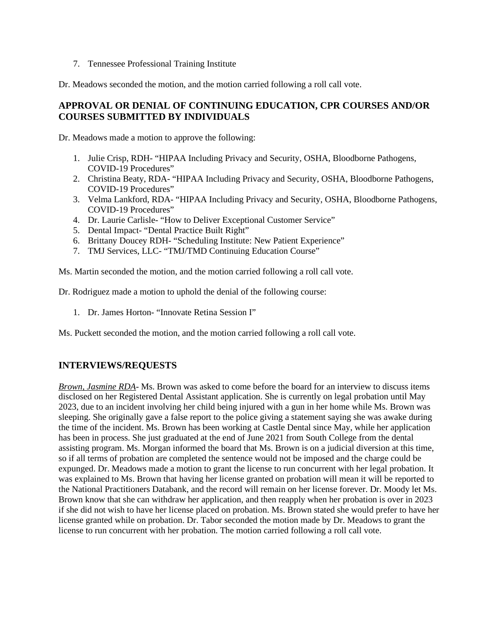7. Tennessee Professional Training Institute

Dr. Meadows seconded the motion, and the motion carried following a roll call vote.

# **APPROVAL OR DENIAL OF CONTINUING EDUCATION, CPR COURSES AND/OR COURSES SUBMITTED BY INDIVIDUALS**

Dr. Meadows made a motion to approve the following:

- 1. Julie Crisp, RDH- "HIPAA Including Privacy and Security, OSHA, Bloodborne Pathogens, COVID-19 Procedures"
- 2. Christina Beaty, RDA- "HIPAA Including Privacy and Security, OSHA, Bloodborne Pathogens, COVID-19 Procedures"
- 3. Velma Lankford, RDA- "HIPAA Including Privacy and Security, OSHA, Bloodborne Pathogens, COVID-19 Procedures"
- 4. Dr. Laurie Carlisle- "How to Deliver Exceptional Customer Service"
- 5. Dental Impact- "Dental Practice Built Right"
- 6. Brittany Doucey RDH- "Scheduling Institute: New Patient Experience"
- 7. TMJ Services, LLC- "TMJ/TMD Continuing Education Course"

Ms. Martin seconded the motion, and the motion carried following a roll call vote.

Dr. Rodriguez made a motion to uphold the denial of the following course:

1. Dr. James Horton- "Innovate Retina Session I"

Ms. Puckett seconded the motion, and the motion carried following a roll call vote.

## **INTERVIEWS/REQUESTS**

*Brown, Jasmine RDA*- Ms. Brown was asked to come before the board for an interview to discuss items disclosed on her Registered Dental Assistant application. She is currently on legal probation until May 2023, due to an incident involving her child being injured with a gun in her home while Ms. Brown was sleeping. She originally gave a false report to the police giving a statement saying she was awake during the time of the incident. Ms. Brown has been working at Castle Dental since May, while her application has been in process. She just graduated at the end of June 2021 from South College from the dental assisting program. Ms. Morgan informed the board that Ms. Brown is on a judicial diversion at this time, so if all terms of probation are completed the sentence would not be imposed and the charge could be expunged. Dr. Meadows made a motion to grant the license to run concurrent with her legal probation. It was explained to Ms. Brown that having her license granted on probation will mean it will be reported to the National Practitioners Databank, and the record will remain on her license forever. Dr. Moody let Ms. Brown know that she can withdraw her application, and then reapply when her probation is over in 2023 if she did not wish to have her license placed on probation. Ms. Brown stated she would prefer to have her license granted while on probation. Dr. Tabor seconded the motion made by Dr. Meadows to grant the license to run concurrent with her probation. The motion carried following a roll call vote.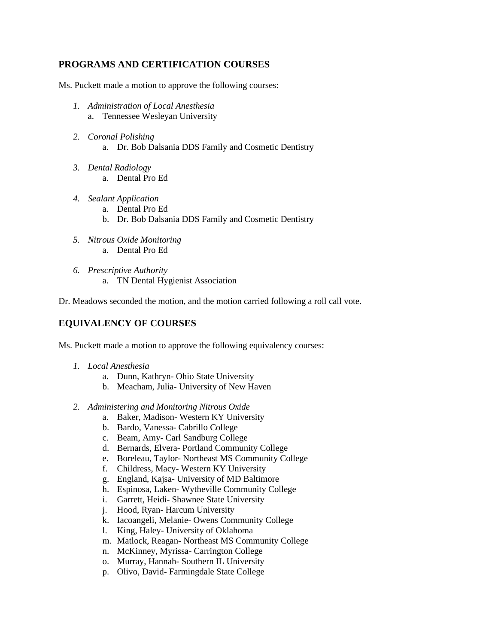# **PROGRAMS AND CERTIFICATION COURSES**

Ms. Puckett made a motion to approve the following courses:

- *1. Administration of Local Anesthesia* a. Tennessee Wesleyan University
- *2. Coronal Polishing* a. Dr. Bob Dalsania DDS Family and Cosmetic Dentistry
- *3. Dental Radiology*
	- a. Dental Pro Ed
- *4. Sealant Application*
	- a. Dental Pro Ed
	- b. Dr. Bob Dalsania DDS Family and Cosmetic Dentistry
- *5. Nitrous Oxide Monitoring* a. Dental Pro Ed
- *6. Prescriptive Authority* 
	- a. TN Dental Hygienist Association

Dr. Meadows seconded the motion, and the motion carried following a roll call vote.

# **EQUIVALENCY OF COURSES**

Ms. Puckett made a motion to approve the following equivalency courses:

- *1. Local Anesthesia*
	- a. Dunn, Kathryn- Ohio State University
	- b. Meacham, Julia- University of New Haven
- *2. Administering and Monitoring Nitrous Oxide*
	- a. Baker, Madison- Western KY University
	- b. Bardo, Vanessa- Cabrillo College
	- c. Beam, Amy- Carl Sandburg College
	- d. Bernards, Elvera- Portland Community College
	- e. Boreleau, Taylor- Northeast MS Community College
	- f. Childress, Macy- Western KY University
	- g. England, Kajsa- University of MD Baltimore
	- h. Espinosa, Laken- Wytheville Community College
	- i. Garrett, Heidi- Shawnee State University
	- j. Hood, Ryan- Harcum University
	- k. Iacoangeli, Melanie- Owens Community College
	- l. King, Haley- University of Oklahoma
	- m. Matlock, Reagan- Northeast MS Community College
	- n. McKinney, Myrissa- Carrington College
	- o. Murray, Hannah- Southern IL University
	- p. Olivo, David- Farmingdale State College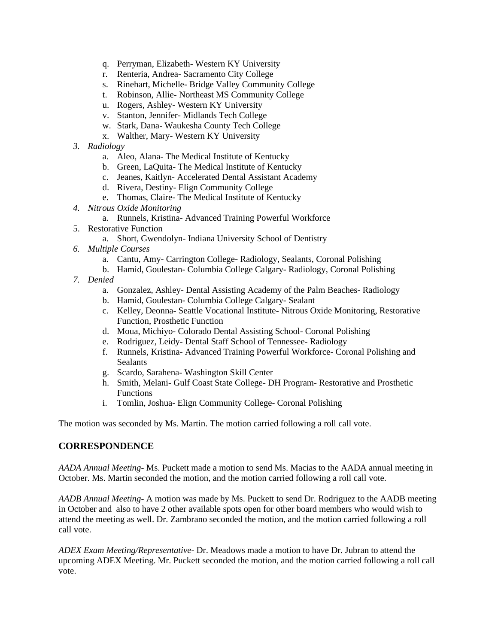- q. Perryman, Elizabeth- Western KY University
- r. Renteria, Andrea- Sacramento City College
- s. Rinehart, Michelle- Bridge Valley Community College
- t. Robinson, Allie- Northeast MS Community College
- u. Rogers, Ashley- Western KY University
- v. Stanton, Jennifer- Midlands Tech College
- w. Stark, Dana- Waukesha County Tech College
- x. Walther, Mary- Western KY University
- *3. Radiology*
	- a. Aleo, Alana- The Medical Institute of Kentucky
	- b. Green, LaQuita- The Medical Institute of Kentucky
	- c. Jeanes, Kaitlyn- Accelerated Dental Assistant Academy
	- d. Rivera, Destiny- Elign Community College
	- e. Thomas, Claire- The Medical Institute of Kentucky
- *4. Nitrous Oxide Monitoring*
	- a. Runnels, Kristina- Advanced Training Powerful Workforce
- 5. Restorative Function
	- a. Short, Gwendolyn- Indiana University School of Dentistry
- *6. Multiple Courses*
	- a. Cantu, Amy- Carrington College- Radiology, Sealants, Coronal Polishing
	- b. Hamid, Goulestan- Columbia College Calgary- Radiology, Coronal Polishing
- *7. Denied*
	- a. Gonzalez, Ashley- Dental Assisting Academy of the Palm Beaches- Radiology
	- b. Hamid, Goulestan- Columbia College Calgary- Sealant
	- c. Kelley, Deonna- Seattle Vocational Institute- Nitrous Oxide Monitoring, Restorative Function, Prosthetic Function
	- d. Moua, Michiyo- Colorado Dental Assisting School- Coronal Polishing
	- e. Rodriguez, Leidy- Dental Staff School of Tennessee- Radiology
	- f. Runnels, Kristina- Advanced Training Powerful Workforce- Coronal Polishing and Sealants
	- g. Scardo, Sarahena- Washington Skill Center
	- h. Smith, Melani- Gulf Coast State College- DH Program- Restorative and Prosthetic Functions
	- i. Tomlin, Joshua- Elign Community College- Coronal Polishing

The motion was seconded by Ms. Martin. The motion carried following a roll call vote.

## **CORRESPONDENCE**

*AADA Annual Meeting*- Ms. Puckett made a motion to send Ms. Macias to the AADA annual meeting in October. Ms. Martin seconded the motion, and the motion carried following a roll call vote.

*AADB Annual Meeting*- A motion was made by Ms. Puckett to send Dr. Rodriguez to the AADB meeting in October and also to have 2 other available spots open for other board members who would wish to attend the meeting as well. Dr. Zambrano seconded the motion, and the motion carried following a roll call vote.

*ADEX Exam Meeting/Representative*- Dr. Meadows made a motion to have Dr. Jubran to attend the upcoming ADEX Meeting. Mr. Puckett seconded the motion, and the motion carried following a roll call vote.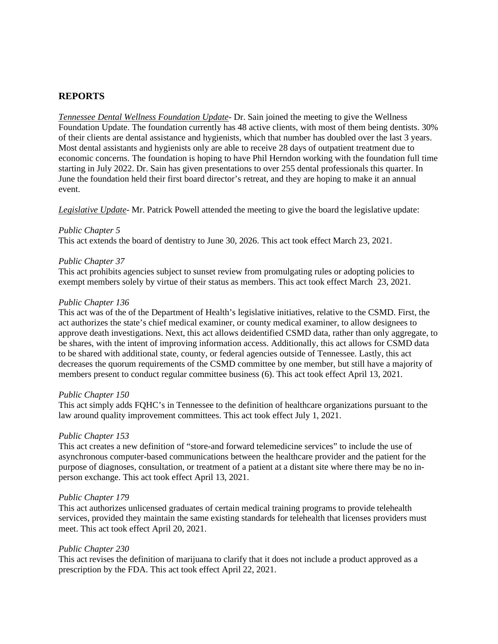# **REPORTS**

*Tennessee Dental Wellness Foundation Update*- Dr. Sain joined the meeting to give the Wellness Foundation Update. The foundation currently has 48 active clients, with most of them being dentists. 30% of their clients are dental assistance and hygienists, which that number has doubled over the last 3 years. Most dental assistants and hygienists only are able to receive 28 days of outpatient treatment due to economic concerns. The foundation is hoping to have Phil Herndon working with the foundation full time starting in July 2022. Dr. Sain has given presentations to over 255 dental professionals this quarter. In June the foundation held their first board director's retreat, and they are hoping to make it an annual event.

*Legislative Update*- Mr. Patrick Powell attended the meeting to give the board the legislative update:

#### *Public Chapter 5*

This act extends the board of dentistry to June 30, 2026. This act took effect March 23, 2021.

#### *Public Chapter 37*

This act prohibits agencies subject to sunset review from promulgating rules or adopting policies to exempt members solely by virtue of their status as members. This act took effect March 23, 2021.

#### *Public Chapter 136*

This act was of the of the Department of Health's legislative initiatives, relative to the CSMD. First, the act authorizes the state's chief medical examiner, or county medical examiner, to allow designees to approve death investigations. Next, this act allows deidentified CSMD data, rather than only aggregate, to be shares, with the intent of improving information access. Additionally, this act allows for CSMD data to be shared with additional state, county, or federal agencies outside of Tennessee. Lastly, this act decreases the quorum requirements of the CSMD committee by one member, but still have a majority of members present to conduct regular committee business (6). This act took effect April 13, 2021.

#### *Public Chapter 150*

This act simply adds FQHC's in Tennessee to the definition of healthcare organizations pursuant to the law around quality improvement committees. This act took effect July 1, 2021.

## *Public Chapter 153*

This act creates a new definition of "store-and forward telemedicine services" to include the use of asynchronous computer-based communications between the healthcare provider and the patient for the purpose of diagnoses, consultation, or treatment of a patient at a distant site where there may be no inperson exchange. This act took effect April 13, 2021.

#### *Public Chapter 179*

This act authorizes unlicensed graduates of certain medical training programs to provide telehealth services, provided they maintain the same existing standards for telehealth that licenses providers must meet. This act took effect April 20, 2021.

## *Public Chapter 230*

This act revises the definition of marijuana to clarify that it does not include a product approved as a prescription by the FDA. This act took effect April 22, 2021.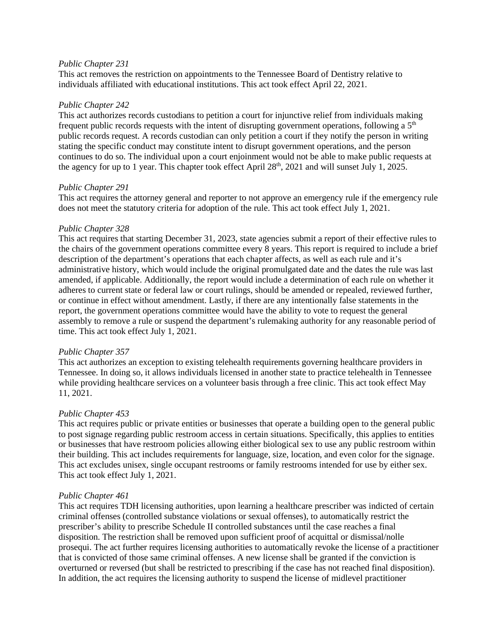### *Public Chapter 231*

This act removes the restriction on appointments to the Tennessee Board of Dentistry relative to individuals affiliated with educational institutions. This act took effect April 22, 2021.

#### *Public Chapter 242*

This act authorizes records custodians to petition a court for injunctive relief from individuals making frequent public records requests with the intent of disrupting government operations, following a  $5<sup>th</sup>$ public records request. A records custodian can only petition a court if they notify the person in writing stating the specific conduct may constitute intent to disrupt government operations, and the person continues to do so. The individual upon a court enjoinment would not be able to make public requests at the agency for up to 1 year. This chapter took effect April 28<sup>th</sup>, 2021 and will sunset July 1, 2025.

#### *Public Chapter 291*

This act requires the attorney general and reporter to not approve an emergency rule if the emergency rule does not meet the statutory criteria for adoption of the rule. This act took effect July 1, 2021.

#### *Public Chapter 328*

This act requires that starting December 31, 2023, state agencies submit a report of their effective rules to the chairs of the government operations committee every 8 years. This report is required to include a brief description of the department's operations that each chapter affects, as well as each rule and it's administrative history, which would include the original promulgated date and the dates the rule was last amended, if applicable. Additionally, the report would include a determination of each rule on whether it adheres to current state or federal law or court rulings, should be amended or repealed, reviewed further, or continue in effect without amendment. Lastly, if there are any intentionally false statements in the report, the government operations committee would have the ability to vote to request the general assembly to remove a rule or suspend the department's rulemaking authority for any reasonable period of time. This act took effect July 1, 2021.

## *Public Chapter 357*

This act authorizes an exception to existing telehealth requirements governing healthcare providers in Tennessee. In doing so, it allows individuals licensed in another state to practice telehealth in Tennessee while providing healthcare services on a volunteer basis through a free clinic. This act took effect May 11, 2021.

## *Public Chapter 453*

This act requires public or private entities or businesses that operate a building open to the general public to post signage regarding public restroom access in certain situations. Specifically, this applies to entities or businesses that have restroom policies allowing either biological sex to use any public restroom within their building. This act includes requirements for language, size, location, and even color for the signage. This act excludes unisex, single occupant restrooms or family restrooms intended for use by either sex. This act took effect July 1, 2021.

#### *Public Chapter 461*

This act requires TDH licensing authorities, upon learning a healthcare prescriber was indicted of certain criminal offenses (controlled substance violations or sexual offenses), to automatically restrict the prescriber's ability to prescribe Schedule II controlled substances until the case reaches a final disposition. The restriction shall be removed upon sufficient proof of acquittal or dismissal/nolle prosequi. The act further requires licensing authorities to automatically revoke the license of a practitioner that is convicted of those same criminal offenses. A new license shall be granted if the conviction is overturned or reversed (but shall be restricted to prescribing if the case has not reached final disposition). In addition, the act requires the licensing authority to suspend the license of midlevel practitioner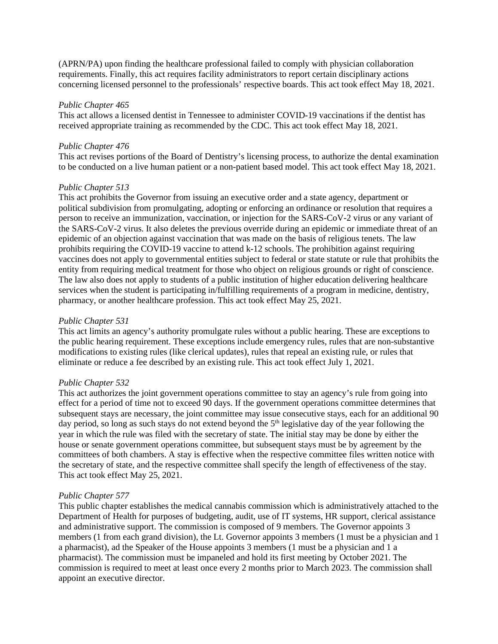(APRN/PA) upon finding the healthcare professional failed to comply with physician collaboration requirements. Finally, this act requires facility administrators to report certain disciplinary actions concerning licensed personnel to the professionals' respective boards. This act took effect May 18, 2021.

#### *Public Chapter 465*

This act allows a licensed dentist in Tennessee to administer COVID-19 vaccinations if the dentist has received appropriate training as recommended by the CDC. This act took effect May 18, 2021.

## *Public Chapter 476*

This act revises portions of the Board of Dentistry's licensing process, to authorize the dental examination to be conducted on a live human patient or a non-patient based model. This act took effect May 18, 2021.

#### *Public Chapter 513*

This act prohibits the Governor from issuing an executive order and a state agency, department or political subdivision from promulgating, adopting or enforcing an ordinance or resolution that requires a person to receive an immunization, vaccination, or injection for the SARS-CoV-2 virus or any variant of the SARS-CoV-2 virus. It also deletes the previous override during an epidemic or immediate threat of an epidemic of an objection against vaccination that was made on the basis of religious tenets. The law prohibits requiring the COVID-19 vaccine to attend k-12 schools. The prohibition against requiring vaccines does not apply to governmental entities subject to federal or state statute or rule that prohibits the entity from requiring medical treatment for those who object on religious grounds or right of conscience. The law also does not apply to students of a public institution of higher education delivering healthcare services when the student is participating in/fulfilling requirements of a program in medicine, dentistry, pharmacy, or another healthcare profession. This act took effect May 25, 2021.

### *Public Chapter 531*

This act limits an agency's authority promulgate rules without a public hearing. These are exceptions to the public hearing requirement. These exceptions include emergency rules, rules that are non-substantive modifications to existing rules (like clerical updates), rules that repeal an existing rule, or rules that eliminate or reduce a fee described by an existing rule. This act took effect July 1, 2021.

## *Public Chapter 532*

This act authorizes the joint government operations committee to stay an agency's rule from going into effect for a period of time not to exceed 90 days. If the government operations committee determines that subsequent stays are necessary, the joint committee may issue consecutive stays, each for an additional 90 day period, so long as such stays do not extend beyond the 5<sup>th</sup> legislative day of the year following the year in which the rule was filed with the secretary of state. The initial stay may be done by either the house or senate government operations committee, but subsequent stays must be by agreement by the committees of both chambers. A stay is effective when the respective committee files written notice with the secretary of state, and the respective committee shall specify the length of effectiveness of the stay. This act took effect May 25, 2021.

## *Public Chapter 577*

This public chapter establishes the medical cannabis commission which is administratively attached to the Department of Health for purposes of budgeting, audit, use of IT systems, HR support, clerical assistance and administrative support. The commission is composed of 9 members. The Governor appoints 3 members (1 from each grand division), the Lt. Governor appoints 3 members (1 must be a physician and 1 a pharmacist), ad the Speaker of the House appoints 3 members (1 must be a physician and 1 a pharmacist). The commission must be impaneled and hold its first meeting by October 2021. The commission is required to meet at least once every 2 months prior to March 2023. The commission shall appoint an executive director.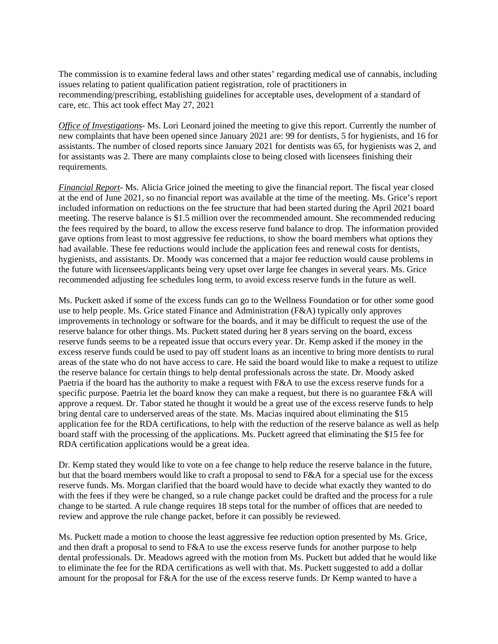The commission is to examine federal laws and other states' regarding medical use of cannabis, including issues relating to patient qualification patient registration, role of practitioners in recommending/prescribing, establishing guidelines for acceptable uses, development of a standard of care, etc. This act took effect May 27, 2021

*Office of Investigations*- Ms. Lori Leonard joined the meeting to give this report. Currently the number of new complaints that have been opened since January 2021 are: 99 for dentists, 5 for hygienists, and 16 for assistants. The number of closed reports since January 2021 for dentists was 65, for hygienists was 2, and for assistants was 2. There are many complaints close to being closed with licensees finishing their requirements.

*Financial Report*- Ms. Alicia Grice joined the meeting to give the financial report. The fiscal year closed at the end of June 2021, so no financial report was available at the time of the meeting. Ms. Grice's report included information on reductions on the fee structure that had been started during the April 2021 board meeting. The reserve balance is \$1.5 million over the recommended amount. She recommended reducing the fees required by the board, to allow the excess reserve fund balance to drop. The information provided gave options from least to most aggressive fee reductions, to show the board members what options they had available. These fee reductions would include the application fees and renewal costs for dentists, hygienists, and assistants. Dr. Moody was concerned that a major fee reduction would cause problems in the future with licensees/applicants being very upset over large fee changes in several years. Ms. Grice recommended adjusting fee schedules long term, to avoid excess reserve funds in the future as well.

Ms. Puckett asked if some of the excess funds can go to the Wellness Foundation or for other some good use to help people. Ms. Grice stated Finance and Administration (F&A) typically only approves improvements in technology or software for the boards, and it may be difficult to request the use of the reserve balance for other things. Ms. Puckett stated during her 8 years serving on the board, excess reserve funds seems to be a repeated issue that occurs every year. Dr. Kemp asked if the money in the excess reserve funds could be used to pay off student loans as an incentive to bring more dentists to rural areas of the state who do not have access to care. He said the board would like to make a request to utilize the reserve balance for certain things to help dental professionals across the state. Dr. Moody asked Paetria if the board has the authority to make a request with F&A to use the excess reserve funds for a specific purpose. Paetria let the board know they can make a request, but there is no guarantee F&A will approve a request. Dr. Tabor stated he thought it would be a great use of the excess reserve funds to help bring dental care to underserved areas of the state. Ms. Macias inquired about eliminating the \$15 application fee for the RDA certifications, to help with the reduction of the reserve balance as well as help board staff with the processing of the applications. Ms. Puckett agreed that eliminating the \$15 fee for RDA certification applications would be a great idea.

Dr. Kemp stated they would like to vote on a fee change to help reduce the reserve balance in the future, but that the board members would like to craft a proposal to send to F&A for a special use for the excess reserve funds. Ms. Morgan clarified that the board would have to decide what exactly they wanted to do with the fees if they were be changed, so a rule change packet could be drafted and the process for a rule change to be started. A rule change requires 18 steps total for the number of offices that are needed to review and approve the rule change packet, before it can possibly be reviewed.

Ms. Puckett made a motion to choose the least aggressive fee reduction option presented by Ms. Grice, and then draft a proposal to send to F&A to use the excess reserve funds for another purpose to help dental professionals. Dr. Meadows agreed with the motion from Ms. Puckett but added that he would like to eliminate the fee for the RDA certifications as well with that. Ms. Puckett suggested to add a dollar amount for the proposal for F&A for the use of the excess reserve funds. Dr Kemp wanted to have a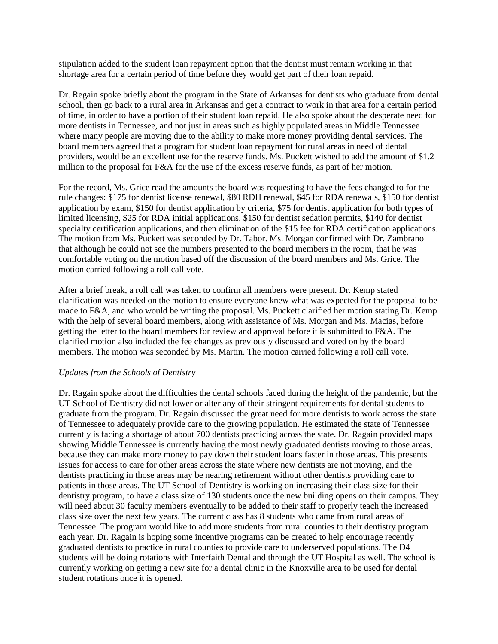stipulation added to the student loan repayment option that the dentist must remain working in that shortage area for a certain period of time before they would get part of their loan repaid.

Dr. Regain spoke briefly about the program in the State of Arkansas for dentists who graduate from dental school, then go back to a rural area in Arkansas and get a contract to work in that area for a certain period of time, in order to have a portion of their student loan repaid. He also spoke about the desperate need for more dentists in Tennessee, and not just in areas such as highly populated areas in Middle Tennessee where many people are moving due to the ability to make more money providing dental services. The board members agreed that a program for student loan repayment for rural areas in need of dental providers, would be an excellent use for the reserve funds. Ms. Puckett wished to add the amount of \$1.2 million to the proposal for F&A for the use of the excess reserve funds, as part of her motion.

For the record, Ms. Grice read the amounts the board was requesting to have the fees changed to for the rule changes: \$175 for dentist license renewal, \$80 RDH renewal, \$45 for RDA renewals, \$150 for dentist application by exam, \$150 for dentist application by criteria, \$75 for dentist application for both types of limited licensing, \$25 for RDA initial applications, \$150 for dentist sedation permits, \$140 for dentist specialty certification applications, and then elimination of the \$15 fee for RDA certification applications. The motion from Ms. Puckett was seconded by Dr. Tabor. Ms. Morgan confirmed with Dr. Zambrano that although he could not see the numbers presented to the board members in the room, that he was comfortable voting on the motion based off the discussion of the board members and Ms. Grice. The motion carried following a roll call vote.

After a brief break, a roll call was taken to confirm all members were present. Dr. Kemp stated clarification was needed on the motion to ensure everyone knew what was expected for the proposal to be made to F&A, and who would be writing the proposal. Ms. Puckett clarified her motion stating Dr. Kemp with the help of several board members, along with assistance of Ms. Morgan and Ms. Macias, before getting the letter to the board members for review and approval before it is submitted to F&A. The clarified motion also included the fee changes as previously discussed and voted on by the board members. The motion was seconded by Ms. Martin. The motion carried following a roll call vote.

## *Updates from the Schools of Dentistry*

Dr. Ragain spoke about the difficulties the dental schools faced during the height of the pandemic, but the UT School of Dentistry did not lower or alter any of their stringent requirements for dental students to graduate from the program. Dr. Ragain discussed the great need for more dentists to work across the state of Tennessee to adequately provide care to the growing population. He estimated the state of Tennessee currently is facing a shortage of about 700 dentists practicing across the state. Dr. Ragain provided maps showing Middle Tennessee is currently having the most newly graduated dentists moving to those areas, because they can make more money to pay down their student loans faster in those areas. This presents issues for access to care for other areas across the state where new dentists are not moving, and the dentists practicing in those areas may be nearing retirement without other dentists providing care to patients in those areas. The UT School of Dentistry is working on increasing their class size for their dentistry program, to have a class size of 130 students once the new building opens on their campus. They will need about 30 faculty members eventually to be added to their staff to properly teach the increased class size over the next few years. The current class has 8 students who came from rural areas of Tennessee. The program would like to add more students from rural counties to their dentistry program each year. Dr. Ragain is hoping some incentive programs can be created to help encourage recently graduated dentists to practice in rural counties to provide care to underserved populations. The D4 students will be doing rotations with Interfaith Dental and through the UT Hospital as well. The school is currently working on getting a new site for a dental clinic in the Knoxville area to be used for dental student rotations once it is opened.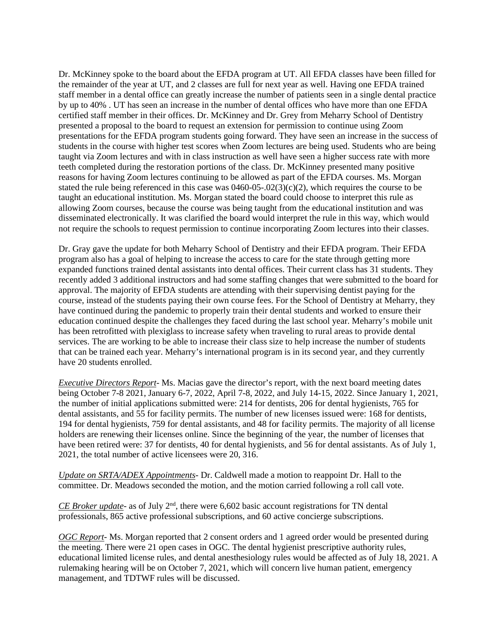Dr. McKinney spoke to the board about the EFDA program at UT. All EFDA classes have been filled for the remainder of the year at UT, and 2 classes are full for next year as well. Having one EFDA trained staff member in a dental office can greatly increase the number of patients seen in a single dental practice by up to 40% . UT has seen an increase in the number of dental offices who have more than one EFDA certified staff member in their offices. Dr. McKinney and Dr. Grey from Meharry School of Dentistry presented a proposal to the board to request an extension for permission to continue using Zoom presentations for the EFDA program students going forward. They have seen an increase in the success of students in the course with higher test scores when Zoom lectures are being used. Students who are being taught via Zoom lectures and with in class instruction as well have seen a higher success rate with more teeth completed during the restoration portions of the class. Dr. McKinney presented many positive reasons for having Zoom lectures continuing to be allowed as part of the EFDA courses. Ms. Morgan stated the rule being referenced in this case was 0460-05-.02(3)(c)(2), which requires the course to be taught an educational institution. Ms. Morgan stated the board could choose to interpret this rule as allowing Zoom courses, because the course was being taught from the educational institution and was disseminated electronically. It was clarified the board would interpret the rule in this way, which would not require the schools to request permission to continue incorporating Zoom lectures into their classes.

Dr. Gray gave the update for both Meharry School of Dentistry and their EFDA program. Their EFDA program also has a goal of helping to increase the access to care for the state through getting more expanded functions trained dental assistants into dental offices. Their current class has 31 students. They recently added 3 additional instructors and had some staffing changes that were submitted to the board for approval. The majority of EFDA students are attending with their supervising dentist paying for the course, instead of the students paying their own course fees. For the School of Dentistry at Meharry, they have continued during the pandemic to properly train their dental students and worked to ensure their education continued despite the challenges they faced during the last school year. Meharry's mobile unit has been retrofitted with plexiglass to increase safety when traveling to rural areas to provide dental services. The are working to be able to increase their class size to help increase the number of students that can be trained each year. Meharry's international program is in its second year, and they currently have 20 students enrolled.

*Executive Directors Report*- Ms. Macias gave the director's report, with the next board meeting dates being October 7-8 2021, January 6-7, 2022, April 7-8, 2022, and July 14-15, 2022. Since January 1, 2021, the number of initial applications submitted were: 214 for dentists, 206 for dental hygienists, 765 for dental assistants, and 55 for facility permits. The number of new licenses issued were: 168 for dentists, 194 for dental hygienists, 759 for dental assistants, and 48 for facility permits. The majority of all license holders are renewing their licenses online. Since the beginning of the year, the number of licenses that have been retired were: 37 for dentists, 40 for dental hygienists, and 56 for dental assistants. As of July 1, 2021, the total number of active licensees were 20, 316.

*Update on SRTA/ADEX Appointments*- Dr. Caldwell made a motion to reappoint Dr. Hall to the committee. Dr. Meadows seconded the motion, and the motion carried following a roll call vote.

*CE Broker update*- as of July 2<sup>nd</sup>, there were 6,602 basic account registrations for TN dental professionals, 865 active professional subscriptions, and 60 active concierge subscriptions.

*OGC Report*- Ms. Morgan reported that 2 consent orders and 1 agreed order would be presented during the meeting. There were 21 open cases in OGC. The dental hygienist prescriptive authority rules, educational limited license rules, and dental anesthesiology rules would be affected as of July 18, 2021. A rulemaking hearing will be on October 7, 2021, which will concern live human patient, emergency management, and TDTWF rules will be discussed.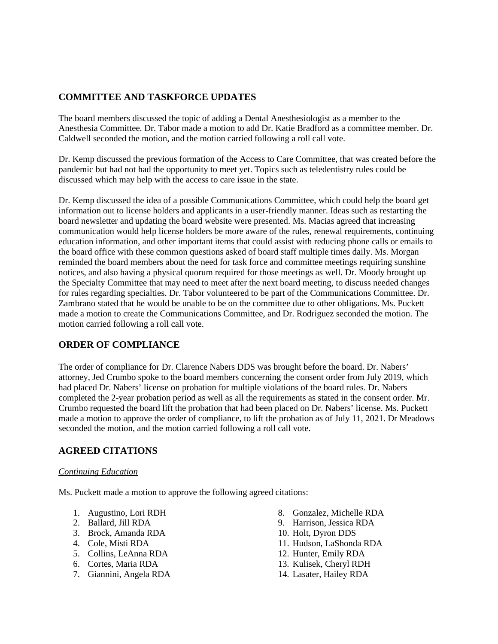# **COMMITTEE AND TASKFORCE UPDATES**

The board members discussed the topic of adding a Dental Anesthesiologist as a member to the Anesthesia Committee. Dr. Tabor made a motion to add Dr. Katie Bradford as a committee member. Dr. Caldwell seconded the motion, and the motion carried following a roll call vote.

Dr. Kemp discussed the previous formation of the Access to Care Committee, that was created before the pandemic but had not had the opportunity to meet yet. Topics such as teledentistry rules could be discussed which may help with the access to care issue in the state.

Dr. Kemp discussed the idea of a possible Communications Committee, which could help the board get information out to license holders and applicants in a user-friendly manner. Ideas such as restarting the board newsletter and updating the board website were presented. Ms. Macias agreed that increasing communication would help license holders be more aware of the rules, renewal requirements, continuing education information, and other important items that could assist with reducing phone calls or emails to the board office with these common questions asked of board staff multiple times daily. Ms. Morgan reminded the board members about the need for task force and committee meetings requiring sunshine notices, and also having a physical quorum required for those meetings as well. Dr. Moody brought up the Specialty Committee that may need to meet after the next board meeting, to discuss needed changes for rules regarding specialties. Dr. Tabor volunteered to be part of the Communications Committee. Dr. Zambrano stated that he would be unable to be on the committee due to other obligations. Ms. Puckett made a motion to create the Communications Committee, and Dr. Rodriguez seconded the motion. The motion carried following a roll call vote.

# **ORDER OF COMPLIANCE**

The order of compliance for Dr. Clarence Nabers DDS was brought before the board. Dr. Nabers' attorney, Jed Crumbo spoke to the board members concerning the consent order from July 2019, which had placed Dr. Nabers' license on probation for multiple violations of the board rules. Dr. Nabers completed the 2-year probation period as well as all the requirements as stated in the consent order. Mr. Crumbo requested the board lift the probation that had been placed on Dr. Nabers' license. Ms. Puckett made a motion to approve the order of compliance, to lift the probation as of July 11, 2021. Dr Meadows seconded the motion, and the motion carried following a roll call vote.

# **AGREED CITATIONS**

## *Continuing Education*

Ms. Puckett made a motion to approve the following agreed citations:

- 1. Augustino, Lori RDH
- 2. Ballard, Jill RDA
- 3. Brock, Amanda RDA
- 4. Cole, Misti RDA
- 5. Collins, LeAnna RDA
- 6. Cortes, Maria RDA
- 7. Giannini, Angela RDA
- 8. Gonzalez, Michelle RDA
- 9. Harrison, Jessica RDA
- 10. Holt, Dyron DDS
- 11. Hudson, LaShonda RDA
- 12. Hunter, Emily RDA
- 13. Kulisek, Cheryl RDH
- 14. Lasater, Hailey RDA